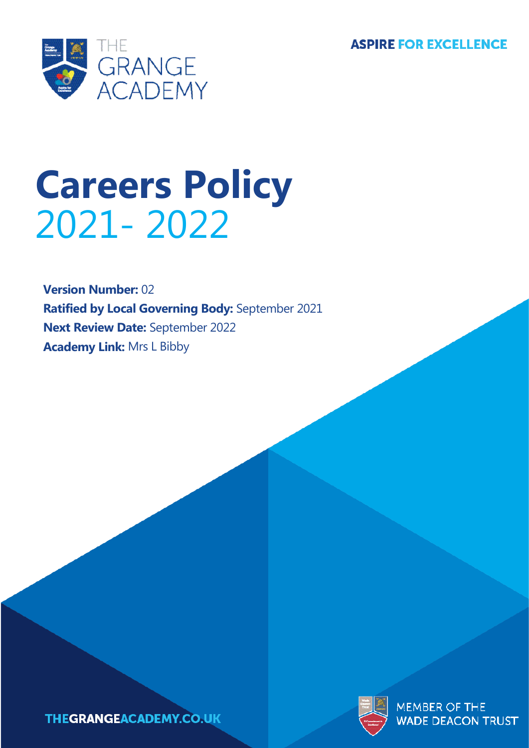**ASPIRE FOR EXCELLENCE** 



# **Careers Policy** 2021- 2022

**Version Number:** 02 **Ratified by Local Governing Body:** September 2021 **Next Review Date:** September 2022 **Academy Link:** Mrs L Bibby





**MEMBER OF THE** ADE DEACON TRUST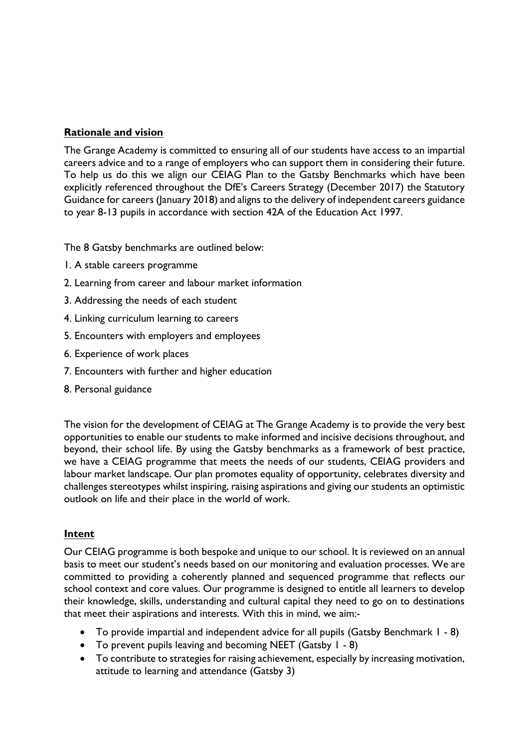### **Rationale and vision**

The Grange Academy is committed to ensuring all of our students have access to an impartial careers advice and to a range of employers who can support them in considering their future. To help us do this we align our CEIAG Plan to the Gatsby Benchmarks which have been explicitly referenced throughout the DfE's Careers Strategy (December 2017) the Statutory Guidance for careers (January 2018) and aligns to the delivery of independent careers guidance to year 8-13 pupils in accordance with section 42A of the Education Act 1997.

The 8 Gatsby benchmarks are outlined below:

- 1. A stable careers programme
- 2. Learning from career and labour market information
- 3. Addressing the needs of each student
- 4. Linking curriculum learning to careers
- 5. Encounters with employers and employees
- 6. Experience of work places
- 7. Encounters with further and higher education
- 8. Personal guidance

The vision for the development of CEIAG at The Grange Academy is to provide the very best opportunities to enable our students to make informed and incisive decisions throughout, and beyond, their school life. By using the Gatsby benchmarks as a framework of best practice, we have a CEIAG programme that meets the needs of our students, CEIAG providers and labour market landscape. Our plan promotes equality of opportunity, celebrates diversity and challenges stereotypes whilst inspiring, raising aspirations and giving our students an optimistic outlook on life and their place in the world of work.

#### **Intent**

Our CEIAG programme is both bespoke and unique to our school. It is reviewed on an annual basis to meet our student's needs based on our monitoring and evaluation processes. We are committed to providing a coherently planned and sequenced programme that reflects our school context and core values. Our programme is designed to entitle all learners to develop their knowledge, skills, understanding and cultural capital they need to go on to destinations that meet their aspirations and interests. With this in mind, we aim:-

- To provide impartial and independent advice for all pupils (Gatsby Benchmark 1 8)
- To prevent pupils leaving and becoming NEET (Gatsby 1 8)
- To contribute to strategies for raising achievement, especially by increasing motivation, attitude to learning and attendance (Gatsby 3)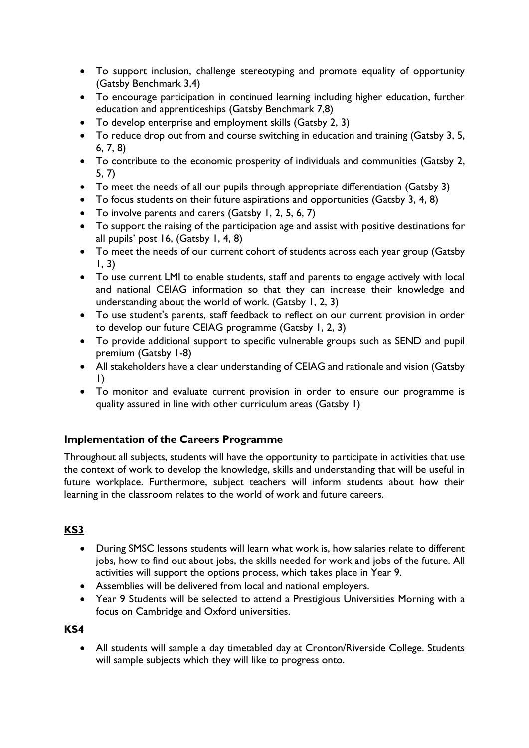- To support inclusion, challenge stereotyping and promote equality of opportunity (Gatsby Benchmark 3,4)
- To encourage participation in continued learning including higher education, further education and apprenticeships (Gatsby Benchmark 7,8)
- To develop enterprise and employment skills (Gatsby 2, 3)
- To reduce drop out from and course switching in education and training (Gatsby 3, 5, 6, 7, 8)
- To contribute to the economic prosperity of individuals and communities (Gatsby 2, 5, 7)
- To meet the needs of all our pupils through appropriate differentiation (Gatsby 3)
- To focus students on their future aspirations and opportunities (Gatsby 3, 4, 8)
- To involve parents and carers (Gatsby 1, 2, 5, 6, 7)
- To support the raising of the participation age and assist with positive destinations for all pupils' post 16, (Gatsby 1, 4, 8)
- To meet the needs of our current cohort of students across each year group (Gatsby  $1, 3)$
- To use current LMI to enable students, staff and parents to engage actively with local and national CEIAG information so that they can increase their knowledge and understanding about the world of work. (Gatsby 1, 2, 3)
- To use student's parents, staff feedback to reflect on our current provision in order to develop our future CEIAG programme (Gatsby 1, 2, 3)
- To provide additional support to specific vulnerable groups such as SEND and pupil premium (Gatsby 1-8)
- All stakeholders have a clear understanding of CEIAG and rationale and vision (Gatsby 1)
- To monitor and evaluate current provision in order to ensure our programme is quality assured in line with other curriculum areas (Gatsby 1)

# **Implementation of the Careers Programme**

Throughout all subjects, students will have the opportunity to participate in activities that use the context of work to develop the knowledge, skills and understanding that will be useful in future workplace. Furthermore, subject teachers will inform students about how their learning in the classroom relates to the world of work and future careers.

## **KS3**

- During SMSC lessons students will learn what work is, how salaries relate to different jobs, how to find out about jobs, the skills needed for work and jobs of the future. All activities will support the options process, which takes place in Year 9.
- Assemblies will be delivered from local and national employers.
- Year 9 Students will be selected to attend a Prestigious Universities Morning with a focus on Cambridge and Oxford universities.

**KS4**

• All students will sample a day timetabled day at Cronton/Riverside College. Students will sample subjects which they will like to progress onto.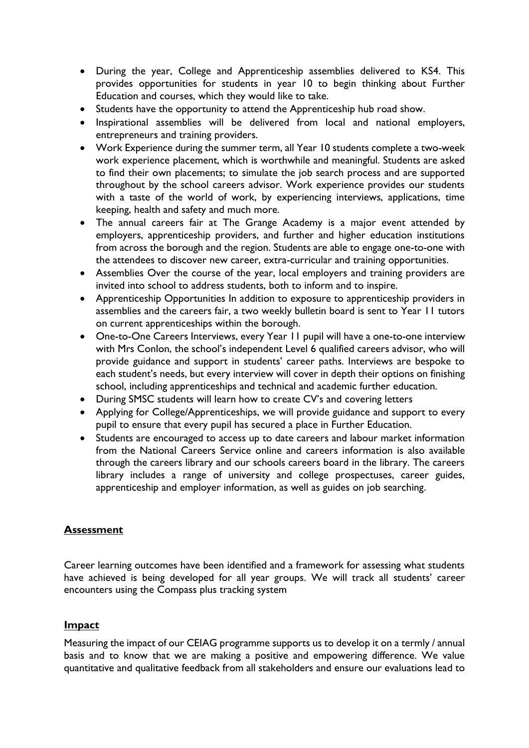- During the year, College and Apprenticeship assemblies delivered to KS4. This provides opportunities for students in year 10 to begin thinking about Further Education and courses, which they would like to take.
- Students have the opportunity to attend the Apprenticeship hub road show.
- Inspirational assemblies will be delivered from local and national employers, entrepreneurs and training providers.
- Work Experience during the summer term, all Year 10 students complete a two-week work experience placement, which is worthwhile and meaningful. Students are asked to find their own placements; to simulate the job search process and are supported throughout by the school careers advisor. Work experience provides our students with a taste of the world of work, by experiencing interviews, applications, time keeping, health and safety and much more.
- The annual careers fair at The Grange Academy is a major event attended by employers, apprenticeship providers, and further and higher education institutions from across the borough and the region. Students are able to engage one-to-one with the attendees to discover new career, extra-curricular and training opportunities.
- Assemblies Over the course of the year, local employers and training providers are invited into school to address students, both to inform and to inspire.
- Apprenticeship Opportunities In addition to exposure to apprenticeship providers in assemblies and the careers fair, a two weekly bulletin board is sent to Year 11 tutors on current apprenticeships within the borough.
- One-to-One Careers Interviews, every Year 11 pupil will have a one-to-one interview with Mrs Conlon, the school's independent Level 6 qualified careers advisor, who will provide guidance and support in students' career paths. Interviews are bespoke to each student's needs, but every interview will cover in depth their options on finishing school, including apprenticeships and technical and academic further education.
- During SMSC students will learn how to create CV's and covering letters
- Applying for College/Apprenticeships, we will provide guidance and support to every pupil to ensure that every pupil has secured a place in Further Education.
- Students are encouraged to access up to date careers and labour market information from the National Careers Service online and careers information is also available through the careers library and our schools careers board in the library. The careers library includes a range of university and college prospectuses, career guides, apprenticeship and employer information, as well as guides on job searching.

## **Assessment**

Career learning outcomes have been identified and a framework for assessing what students have achieved is being developed for all year groups. We will track all students' career encounters using the Compass plus tracking system

## **Impact**

Measuring the impact of our CEIAG programme supports us to develop it on a termly / annual basis and to know that we are making a positive and empowering difference. We value quantitative and qualitative feedback from all stakeholders and ensure our evaluations lead to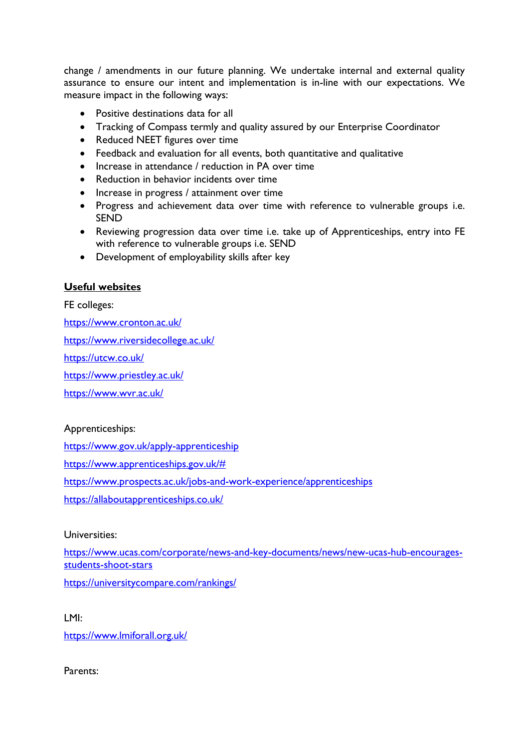change / amendments in our future planning. We undertake internal and external quality assurance to ensure our intent and implementation is in-line with our expectations. We measure impact in the following ways:

- Positive destinations data for all
- Tracking of Compass termly and quality assured by our Enterprise Coordinator
- Reduced NEET figures over time
- Feedback and evaluation for all events, both quantitative and qualitative
- Increase in attendance / reduction in PA over time
- Reduction in behavior incidents over time
- Increase in progress / attainment over time
- Progress and achievement data over time with reference to vulnerable groups i.e. SEND
- Reviewing progression data over time i.e. take up of Apprenticeships, entry into FE with reference to vulnerable groups i.e. SEND
- Development of employability skills after key

#### **Useful websites**

FE colleges:

<https://www.cronton.ac.uk/>

<https://www.riversidecollege.ac.uk/>

<https://utcw.co.uk/>

<https://www.priestley.ac.uk/>

<https://www.wvr.ac.uk/>

### Apprenticeships:

<https://www.gov.uk/apply-apprenticeship>

[https://www.apprenticeships.gov.uk/#](https://www.apprenticeships.gov.uk/)

<https://www.prospects.ac.uk/jobs-and-work-experience/apprenticeships>

<https://allaboutapprenticeships.co.uk/>

#### Universities:

[https://www.ucas.com/corporate/news-and-key-documents/news/new-ucas-hub-encourages](https://www.ucas.com/corporate/news-and-key-documents/news/new-ucas-hub-encourages-students-shoot-stars)[students-shoot-stars](https://www.ucas.com/corporate/news-and-key-documents/news/new-ucas-hub-encourages-students-shoot-stars)

<https://universitycompare.com/rankings/>

LMI:

<https://www.lmiforall.org.uk/>

Parents: